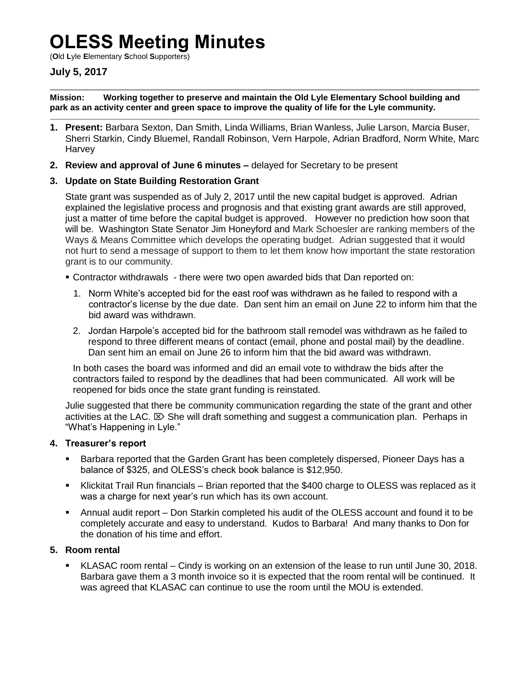# **OLESS Meeting Minutes**

(**O**ld **L**yle **E**lementary **S**chool **S**upporters)

## **July 5, 2017**

**Mission: Working together to preserve and maintain the Old Lyle Elementary School building and park as an activity center and green space to improve the quality of life for the Lyle community.**

- **1. Present:** Barbara Sexton, Dan Smith, Linda Williams, Brian Wanless, Julie Larson, Marcia Buser, Sherri Starkin, Cindy Bluemel, Randall Robinson, Vern Harpole, Adrian Bradford, Norm White, Marc **Harvey**
- **2. Review and approval of June 6 minutes –** delayed for Secretary to be present

### **3. Update on State Building Restoration Grant**

State grant was suspended as of July 2, 2017 until the new capital budget is approved. Adrian explained the legislative process and prognosis and that existing grant awards are still approved, just a matter of time before the capital budget is approved. However no prediction how soon that will be. Washington State Senator Jim Honeyford and Mark Schoesler are ranking members of the Ways & Means Committee which develops the operating budget. Adrian suggested that it would not hurt to send a message of support to them to let them know how important the state restoration grant is to our community.

- Contractor withdrawals there were two open awarded bids that Dan reported on:
	- 1. Norm White's accepted bid for the east roof was withdrawn as he failed to respond with a contractor's license by the due date. Dan sent him an email on June 22 to inform him that the bid award was withdrawn.
	- 2. Jordan Harpole's accepted bid for the bathroom stall remodel was withdrawn as he failed to respond to three different means of contact (email, phone and postal mail) by the deadline. Dan sent him an email on June 26 to inform him that the bid award was withdrawn.

In both cases the board was informed and did an email vote to withdraw the bids after the contractors failed to respond by the deadlines that had been communicated. All work will be reopened for bids once the state grant funding is reinstated.

Julie suggested that there be community communication regarding the state of the grant and other activities at the LAC.  $\boxtimes$  She will draft something and suggest a communication plan. Perhaps in "What's Happening in Lyle."

#### **4. Treasurer's report**

- Barbara reported that the Garden Grant has been completely dispersed, Pioneer Days has a balance of \$325, and OLESS's check book balance is \$12,950.
- Klickitat Trail Run financials Brian reported that the \$400 charge to OLESS was replaced as it was a charge for next year's run which has its own account.
- Annual audit report Don Starkin completed his audit of the OLESS account and found it to be completely accurate and easy to understand. Kudos to Barbara! And many thanks to Don for the donation of his time and effort.

#### **5. Room rental**

 KLASAC room rental – Cindy is working on an extension of the lease to run until June 30, 2018. Barbara gave them a 3 month invoice so it is expected that the room rental will be continued. It was agreed that KLASAC can continue to use the room until the MOU is extended.